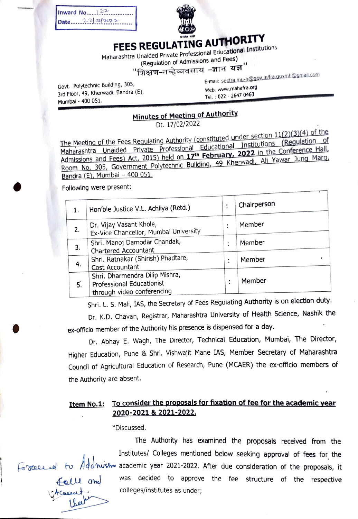Inward No..... $1.22$  $Date..... 2.21.912.22$ 



## FEES REGULATING AUTHORITY

Maharashtra Unaided Private Professlonal Educational Institutions

(Regulation of Admissions and Fees)<br>''शिक्षण-नव्हेव्यवसाय *-*ज्ञान यज्ञ

Govt. Polytechnic Building, 305, Soviet individually below the conditions of the condition of the web: www.mahafra.org 3rd Floor, 49, Kherwadi, Bandra (E), Mumbai - 400 051.

E-mall: seclia.mu-h@goy.inifra.gournh@gnail.com

Tel.: 022 - 2647 0463

## Minutes of Meeting of Authority

Dt. 17/02/2022

The Meeting of the Fees Regulating Authority (constituted under section 11(2)(3)(4) of the Maharashtra Unaided Private Professional Educational Institutions (Regulation of Admissions and Fees) Act, 2015) held on 17<sup>th</sup> February, 2022 in the Conference Hall, Room No. 305, Government Polytechnic Building, 49 Kherwadi, Ali Yawar Jung Marg, Bandra (E), Mumbai - 400 051.

Following were present:

|    | Hon'ble Justice V.L. Achliya (Retd.)                                                      | ٠                   | Chairperson |
|----|-------------------------------------------------------------------------------------------|---------------------|-------------|
| 2. | Dr. Vijay Vasant Khole,<br>Ex-Vice Chancellor, Mumbai University                          | ٠                   | Member      |
| 3. | Shri. Manoj Damodar Chandak,<br>Chartered Accountant                                      |                     | Member      |
| 4. | Shri, Ratnakar (Shirish) Phadtare,<br>Cost Accountant                                     | ٠                   | Member      |
| 5. | Shri. Dharmendra Dilip Mishra,<br>Professional Educationist<br>through video conferencing | ٠<br>$\blacksquare$ | Member      |

Shri. L. S. Mali, IAS, the Secretary of Fees Regulating Authority is on election duty.

Dr. K.D. Chavan, Registrar, Maharashtra University of Health Science, Nashik the ex-officio member of the Authority his presence is dispensed for a day.

Dr. Abhay E. Wagh, The Director, Technical Education, Mumbai, The Director, Higher Education, Pune & Shri. Vishwajit Mane IAS, Member Secretary of Maharashtra Council of Agricultural Education of Research, Pune (MCAER) the ex-officio members of the Authority are absent.

## Item No.1: To consider the proposals for fixation of fee for the academic year<br>2020-2021 & 2021-2022.

"Discussed.

L&a

The Authority has examined the proposals received from the Institutes/ Colleges mentioned below seeking approval of fees for the Forcece of to Addrush academic year 2021-2022. After due consideration of the proposals, it decided to approve the fee structure of the respective colleges/nstitutes as under;